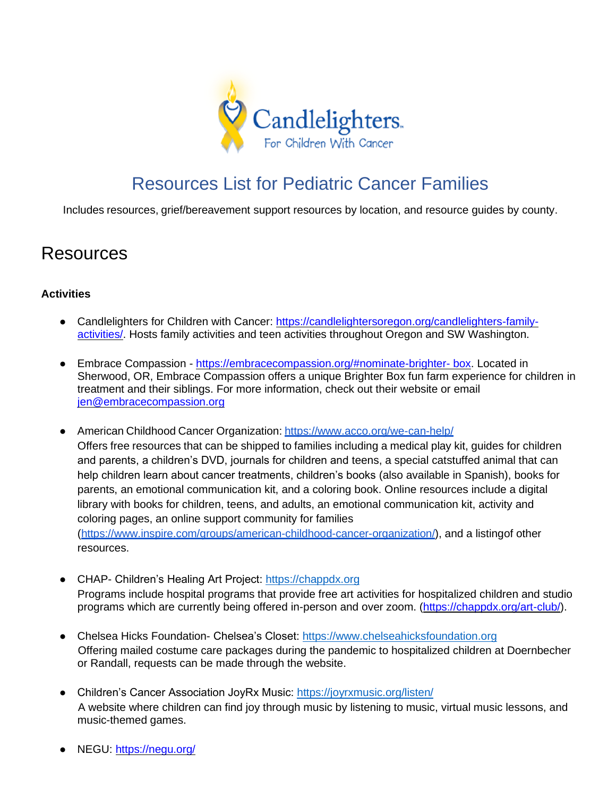

# Resources List for Pediatric Cancer Families

Includes resources, grief/bereavement support resources by location, and resource guides by county.

# Resources

# **Activities**

- Candlelighters for Children with Cancer: [https://candlelightersoregon.org/candlelighters-family](https://candlelightersoregon.org/candlelighters-family-activities/)[activities/.](https://candlelightersoregon.org/candlelighters-family-activities/) Hosts family activities and teen activities throughout Oregon and SW Washington.
- Embrace Compassion [https://embracecompassion.org/#nominate-brighter-](https://embracecompassion.org/%23nominate-brighter-%20box) box. Located in Sherwood, OR, Embrace Compassion offers a unique Brighter Box fun farm experience for children in treatment and their siblings. For more information, check out their website or email [jen@embracecompassion.org](mailto:jen@embracecompassion.org)
- American Childhood Cancer Organization: <https://www.acco.org/we-can-help/> Offers free resources that can be shipped to families including a medical play kit, guides for children and parents, a children's DVD, journals for children and teens, a special catstuffed animal that can help children learn about cancer treatments, children's books (also available in Spanish), books for parents, an emotional communication kit, and a coloring book. Online resources include a digital library with books for children, teens, and adults, an emotional communication kit, activity and coloring pages, an online support community for families [\(https://www.inspire.com/groups/american-childhood-cancer-organization/\)](https://www.inspire.com/groups/american-childhood-cancer-organization/), and a listingof other resources.
- CHAP- Children's Healing Art Project: [https://chappdx.org](https://chappdx.org/) Programs include hospital programs that provide free art activities for hospitalized children and studio programs which are currently being offered in-person and over zoom. [\(https://chappdx.org/art-club/\)](https://chappdx.org/art-club/).
- Chelsea Hicks Foundation- Chelsea's Closet: [https://www.chelseahicksfoundation.org](https://www.chelseahicksfoundation.org/) Offering mailed costume care packages during the pandemic to hospitalized children at Doernbecher or Randall, requests can be made through the website.
- Children's Cancer Association JoyRx Music:<https://joyrxmusic.org/listen/> A website where children can find joy through music by listening to music, virtual music lessons, and music-themed games.
- NEGU:<https://negu.org/>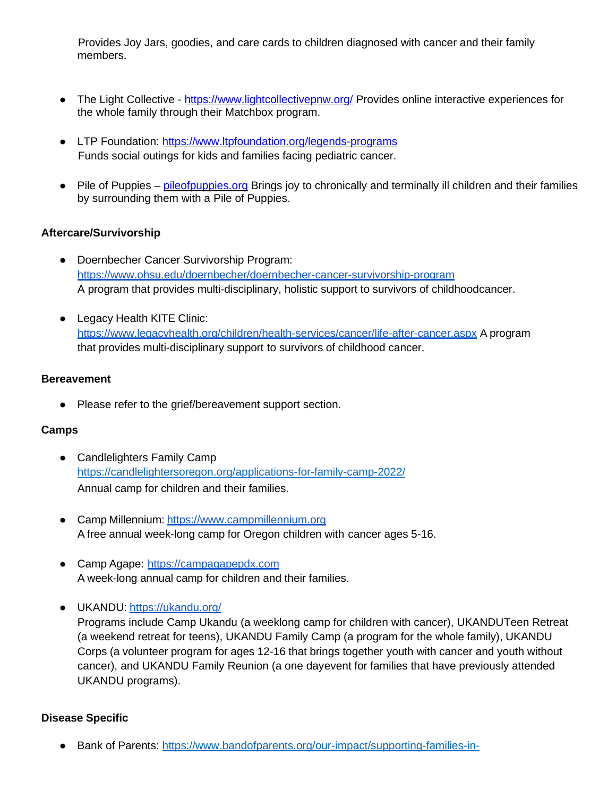Provides Joy Jars, goodies, and care cards to children diagnosed with cancer and their family members.

- The Light Collective <https://www.lightcollectivepnw.org/> Provides online interactive experiences for the whole family through their Matchbox program.
- LTP Foundation:<https://www.ltpfoundation.org/legends-programs> Funds social outings for kids and families facing pediatric cancer.
- Pile of Puppies <pileofpuppies.org> Brings joy to chronically and terminally ill children and their families by surrounding them with a Pile of Puppies.

#### **Aftercare/Survivorship**

- Doernbecher Cancer Survivorship Program: <https://www.ohsu.edu/doernbecher/doernbecher-cancer-survivorship-program> A program that provides multi-disciplinary, holistic support to survivors of childhoodcancer.
- Legacy Health KITE Clinic: <https://www.legacyhealth.org/children/health-services/cancer/life-after-cancer.aspx> A program that provides multi-disciplinary support to survivors of childhood cancer.

#### **Bereavement**

● Please refer to the grief/bereavement support section.

#### **Camps**

- Candlelighters Family Camp <https://candlelightersoregon.org/applications-for-family-camp-2022/> Annual camp for children and their families.
- Camp Millennium: [https://www.campmillennium.org](https://www.campmillennium.org/) A free annual week-long camp for Oregon children with cancer ages 5-16.
- Camp Agape: [https://campagapepdx.com](https://campagapepdx.com/) A week-long annual camp for children and their families.
- UKANDU: <https://ukandu.org/>

Programs include Camp Ukandu (a weeklong camp for children with cancer), UKANDUTeen Retreat (a weekend retreat for teens), UKANDU Family Camp (a program for the whole family), UKANDU Corps (a volunteer program for ages 12-16 that brings together youth with cancer and youth without cancer), and UKANDU Family Reunion (a one dayevent for families that have previously attended UKANDU programs).

#### **Disease Specific**

● Bank of Parents: [https://www.bandofparents.org/our-impact/supporting-families-in-](https://www.bandofparents.org/our-impact/supporting-families-in-treatment/)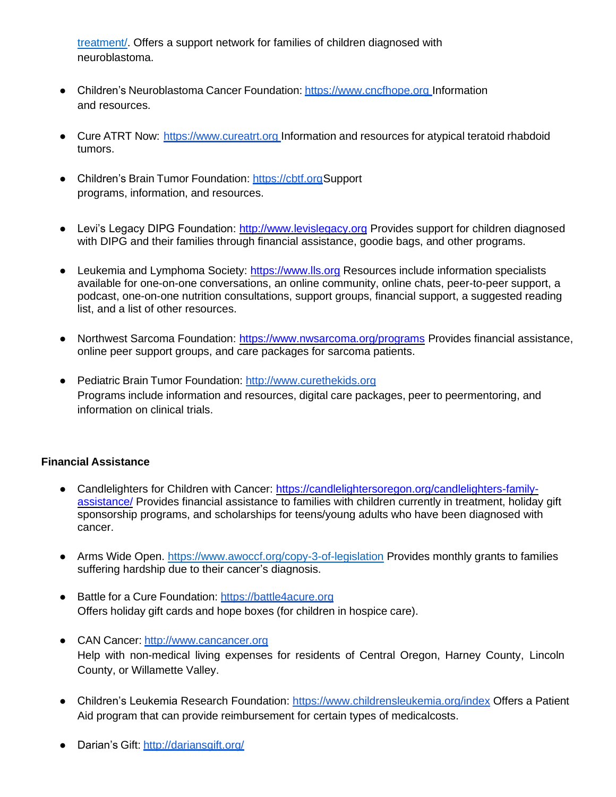[treatment/.](https://www.bandofparents.org/our-impact/supporting-families-in-treatment/) Offers a support network for families of children diagnosed with neuroblastoma.

- Children's Neuroblastoma Cancer Foundation: [https://www.cncfhope.org](https://www.cncfhope.org/) Information and resources.
- Cure ATRT Now: [https://www.cureatrt.org](https://www.cureatrt.org/) Information and resources for atypical teratoid rhabdoid tumors.
- Children's Brain Tumor Foundation: [https://cbtf.orgS](https://cbtf.org/)upport programs, information, and resources.
- Levi's Legacy DIPG Foundation: [http://www.levislegacy.org](http://www.levislegacy.org/) Provides support for children diagnosed with DIPG and their families through financial assistance, goodie bags, and other programs.
- Leukemia and Lymphoma Society: [https://www.lls.org](https://www.lls.org/) Resources include information specialists available for one-on-one conversations, an online community, online chats, peer-to-peer support, a podcast, one-on-one nutrition consultations, support groups, financial support, a suggested reading list, and a list of other resources.
- Northwest Sarcoma Foundation:<https://www.nwsarcoma.org/programs> Provides financial assistance, online peer support groups, and care packages for sarcoma patients.
- Pediatric Brain Tumor Foundation: [http://www.curethekids.org](http://www.curethekids.org/) Programs include information and resources, digital care packages, peer to peermentoring, and information on clinical trials.

#### **Financial Assistance**

- Candlelighters for Children with Cancer: [https://candlelightersoregon.org/candlelighters-family](https://candlelightersoregon.org/candlelighters-family-assistance/)[assistance/](https://candlelightersoregon.org/candlelighters-family-assistance/) Provides financial assistance to families with children currently in treatment, holiday gift sponsorship programs, and scholarships for teens/young adults who have been diagnosed with cancer.
- Arms Wide Open.<https://www.awoccf.org/copy-3-of-legislation> Provides monthly grants to families suffering hardship due to their cancer's diagnosis.
- Battle for a Cure Foundation: [https://battle4acure.org](https://battle4acure.org/) Offers holiday gift cards and hope boxes (for children in hospice care).
- CAN Cancer: [http://www.cancancer.org](http://www.cancancer.org/) Help with non-medical living expenses for residents of Central Oregon, Harney County, Lincoln County, or Willamette Valley.
- Children's Leukemia Research Foundation: <https://www.childrensleukemia.org/index> Offers a Patient Aid program that can provide reimbursement for certain types of medicalcosts.
- Darian's Gift: [http://dariansgift.org/](http://dariansgift.org/frequently-asked-questions/)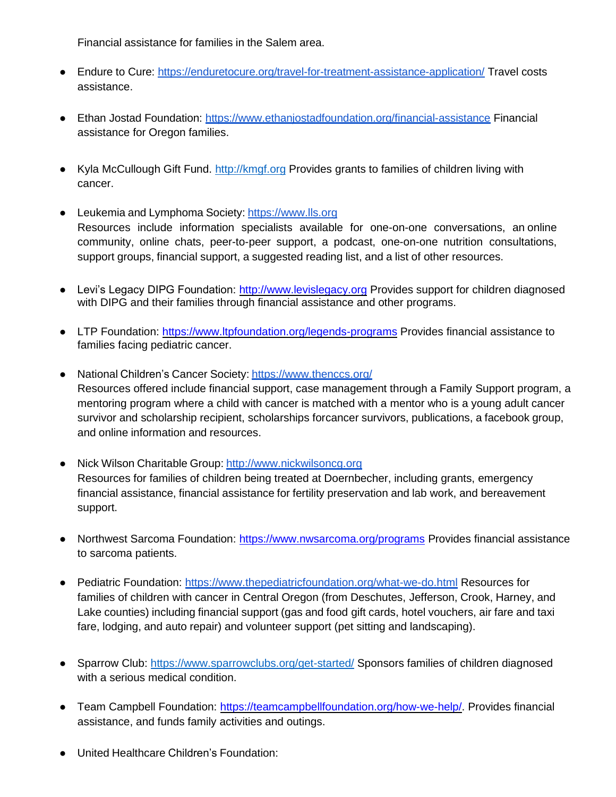Financial assistance for families in the Salem area.

- Endure to Cure: <https://enduretocure.org/travel-for-treatment-assistance-application/> Travel costs assistance.
- Ethan Jostad Foundation: <https://www.ethanjostadfoundation.org/financial-assistance> Financial assistance for Oregon families.
- Kyla McCullough Gift Fund. [http://kmgf.org](http://kmgf.org/) Provides grants to families of children living with cancer.
- Leukemia and Lymphoma Society: [https://www.lls.org](https://www.lls.org/) Resources include information specialists available for one-on-one conversations, an online community, online chats, peer-to-peer support, a podcast, one-on-one nutrition consultations, support groups, financial support, a suggested reading list, and a list of other resources.
- Levi's Legacy DIPG Foundation: [http://www.levislegacy.org](http://www.levislegacy.org/) Provides support for children diagnosed with DIPG and their families through financial assistance and other programs.
- LTP Foundation:<https://www.ltpfoundation.org/legends-programs> Provides financial assistance to families facing pediatric cancer.
- National Children's Cancer Society: <https://www.thenccs.org/> Resources offered include financial support, case management through a Family Support program, a mentoring program where a child with cancer is matched with a mentor who is a young adult cancer survivor and scholarship recipient, scholarships forcancer survivors, publications, a facebook group, and online information and resources.
- Nick Wilson Charitable Group: [http://www.nickwilsoncg.org](http://www.nickwilsoncg.org/) Resources for families of children being treated at Doernbecher, including grants, emergency financial assistance, financial assistance for fertility preservation and lab work, and bereavement support.
- Northwest Sarcoma Foundation:<https://www.nwsarcoma.org/programs> Provides financial assistance to sarcoma patients.
- Pediatric Foundation: <https://www.thepediatricfoundation.org/what-we-do.html> Resources for families of children with cancer in Central Oregon (from Deschutes, Jefferson, Crook, Harney, and Lake counties) including financial support (gas and food gift cards, hotel vouchers, air fare and taxi fare, lodging, and auto repair) and volunteer support (pet sitting and landscaping).
- Sparrow Club:<https://www.sparrowclubs.org/get-started/> Sponsors families of children diagnosed with a serious medical condition.
- Team Campbell Foundation: [https://teamcampbellfoundation.org/how-we-help/.](https://teamcampbellfoundation.org/how-we-help/) Provides financial assistance, and funds family activities and outings.
- United Healthcare Children's Foundation: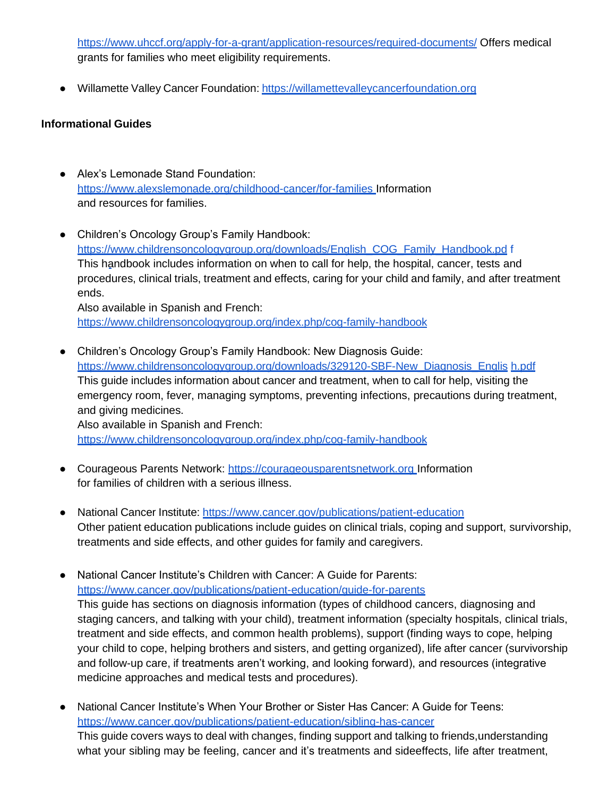<https://www.uhccf.org/apply-for-a-grant/application-resources/required-documents/> Offers medical grants for families who meet eligibility requirements.

● Willamette Valley Cancer Foundation: [https://willamettevalleycancerfoundation.org](https://willamettevalleycancerfoundation.org/)

# **Informational Guides**

- Alex's Lemonade Stand Foundation: <https://www.alexslemonade.org/childhood-cancer/for-families> Information and resources for families.
- Children's Oncology Group's Family Handbook: [https://www.childrensoncologygroup.org/downloads/English\\_COG\\_Family\\_Handbook.pd](https://www.childrensoncologygroup.org/downloads/English_COG_Family_Handbook.pdf) [f](https://www.childrensoncologygroup.org/downloads/English_COG_Family_Handbook.pdf) This handbook includes information on when to call for help, the hospital, cancer, tests and procedures, clinical trials, treatment and effects, caring for your child and family, and after treatment ends.

Also available in Spanish and French: <https://www.childrensoncologygroup.org/index.php/cog-family-handbook>

- Children's Oncology Group's Family Handbook: New Diagnosis Guide: [https://www.childrensoncologygroup.org/downloads/329120-SBF-New\\_Diagnosis\\_Englis](https://www.childrensoncologygroup.org/downloads/329120-SBF-New_Diagnosis_English.pdf) [h.pdf](https://www.childrensoncologygroup.org/downloads/329120-SBF-New_Diagnosis_English.pdf) This guide includes information about cancer and treatment, when to call for help, visiting the emergency room, fever, managing symptoms, preventing infections, precautions during treatment, and giving medicines. Also available in Spanish and French: <https://www.childrensoncologygroup.org/index.php/cog-family-handbook>
- Courageous Parents Network: [https://courageousparentsnetwork.org](https://courageousparentsnetwork.org/) Information for families of children with a serious illness.
- National Cancer Institute: <https://www.cancer.gov/publications/patient-education> Other patient education publications include guides on clinical trials, coping and support, survivorship, treatments and side effects, and other guides for family and caregivers.
- National Cancer Institute's Children with Cancer: A Guide for Parents: <https://www.cancer.gov/publications/patient-education/guide-for-parents> This guide has sections on diagnosis information (types of childhood cancers, diagnosing and staging cancers, and talking with your child), treatment information (specialty hospitals, clinical trials, treatment and side effects, and common health problems), support (finding ways to cope, helping your child to cope, helping brothers and sisters, and getting organized), life after cancer (survivorship and follow-up care, if treatments aren't working, and looking forward), and resources (integrative medicine approaches and medical tests and procedures).
- National Cancer Institute's When Your Brother or Sister Has Cancer: A Guide for Teens: <https://www.cancer.gov/publications/patient-education/sibling-has-cancer> This guide covers ways to deal with changes, finding support and talking to friends,understanding what your sibling may be feeling, cancer and it's treatments and sideeffects, life after treatment,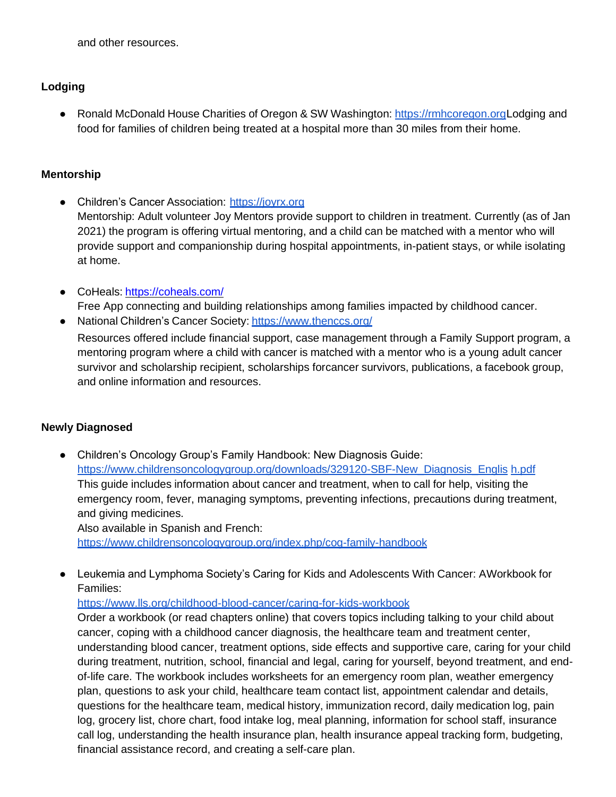and other resources.

# **Lodging**

● Ronald McDonald House Charities of Oregon & SW Washington: [https://rmhcoregon.orgL](https://rmhcoregon.org/)odging and food for families of children being treated at a hospital more than 30 miles from their home.

# **Mentorship**

- Children's Cancer Association: [https://joyrx.org](https://joyrx.org/) Mentorship: Adult volunteer Joy Mentors provide support to children in treatment. Currently (as of Jan 2021) the program is offering virtual mentoring, and a child can be matched with a mentor who will provide support and companionship during hospital appointments, in-patient stays, or while isolating at home.
- CoHeals: <https://coheals.com/> Free App connecting and building relationships among families impacted by childhood cancer.
- National Children's Cancer Society: <https://www.thenccs.org/>

Resources offered include financial support, case management through a Family Support program, a mentoring program where a child with cancer is matched with a mentor who is a young adult cancer survivor and scholarship recipient, scholarships forcancer survivors, publications, a facebook group, and online information and resources.

# **Newly Diagnosed**

● Children's Oncology Group's Family Handbook: New Diagnosis Guide: [https://www.childrensoncologygroup.org/downloads/329120-SBF-New\\_Diagnosis\\_Englis](https://www.childrensoncologygroup.org/downloads/329120-SBF-New_Diagnosis_English.pdf) [h.pdf](https://www.childrensoncologygroup.org/downloads/329120-SBF-New_Diagnosis_English.pdf) This guide includes information about cancer and treatment, when to call for help, visiting the emergency room, fever, managing symptoms, preventing infections, precautions during treatment, and giving medicines.

Also available in Spanish and French: <https://www.childrensoncologygroup.org/index.php/cog-family-handbook>

● Leukemia and Lymphoma Society's Caring for Kids and Adolescents With Cancer: AWorkbook for Families:

<https://www.lls.org/childhood-blood-cancer/caring-for-kids-workbook>

Order a workbook (or read chapters online) that covers topics including talking to your child about cancer, coping with a childhood cancer diagnosis, the healthcare team and treatment center, understanding blood cancer, treatment options, side effects and supportive care, caring for your child during treatment, nutrition, school, financial and legal, caring for yourself, beyond treatment, and endof-life care. The workbook includes worksheets for an emergency room plan, weather emergency plan, questions to ask your child, healthcare team contact list, appointment calendar and details, questions for the healthcare team, medical history, immunization record, daily medication log, pain log, grocery list, chore chart, food intake log, meal planning, information for school staff, insurance call log, understanding the health insurance plan, health insurance appeal tracking form, budgeting, financial assistance record, and creating a self-care plan.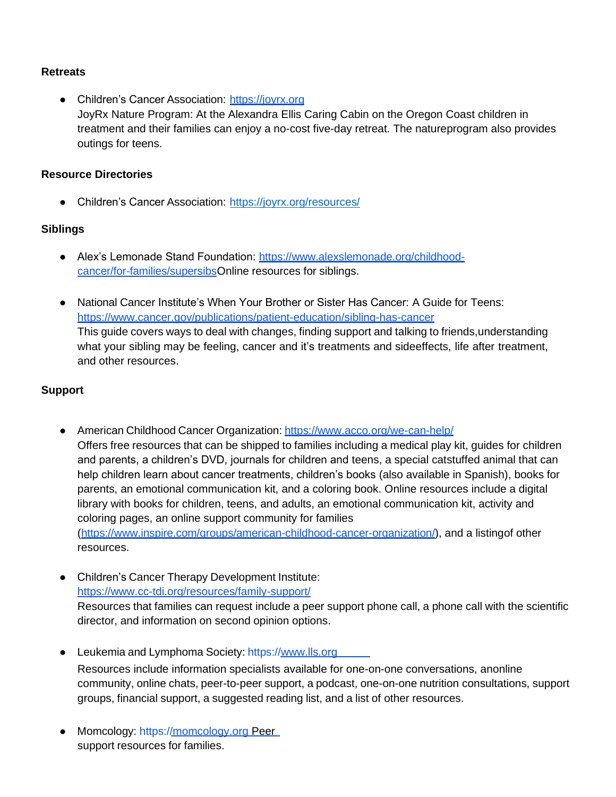#### **Retreats**

● Children's Cancer Association: [https://joyrx.org](https://joyrx.org/) JoyRx Nature Program: At the Alexandra Ellis Caring Cabin on the Oregon Coast children in treatment and their families can enjoy a no-cost five-day retreat. The natureprogram also provides outings for teens.

#### **Resource Directories**

• Children's Cancer Association: <https://joyrx.org/resources/>

#### **Siblings**

- Alex's Lemonade Stand Foundation: [https://www.alexslemonade.org/childhood](https://www.alexslemonade.org/childhood-cancer/for-families/supersibs)[cancer/for-families/supersibsO](https://www.alexslemonade.org/childhood-cancer/for-families/supersibs)nline resources for siblings.
- National Cancer Institute's When Your Brother or Sister Has Cancer: A Guide for Teens: <https://www.cancer.gov/publications/patient-education/sibling-has-cancer> This guide covers ways to deal with changes, finding support and talking to friends,understanding what your sibling may be feeling, cancer and it's treatments and sideeffects, life after treatment, and other resources.

# **Support**

- American Childhood Cancer Organization: <https://www.acco.org/we-can-help/> Offers free resources that can be shipped to families including a medical play kit, guides for children and parents, a children's DVD, journals for children and teens, a special catstuffed animal that can help children learn about cancer treatments, children's books (also available in Spanish), books for parents, an emotional communication kit, and a coloring book. Online resources include a digital library with books for children, teens, and adults, an emotional communication kit, activity and coloring pages, an online support community for families [\(https://www.inspire.com/groups/american-childhood-cancer-organization/\)](https://www.inspire.com/groups/american-childhood-cancer-organization/), and a listingof other resources.
- Children's Cancer Therapy Development Institute: <https://www.cc-tdi.org/resources/family-support/> Resources that families can request include a peer support phone call, a phone call with the scientific director, and information on second opinion options.
- Leukemia and Lymphoma Society: [https://www.lls.org](https://www.lls.org/) Resources include information specialists available for one-on-one conversations, anonline community, online chats, peer-to-peer support, a podcast, one-on-one nutrition consultations, support groups, financial support, a suggested reading list, and a list of other resources.
- Momcology: [https://momcology.org](https://momcology.org/) Peer support resources for families.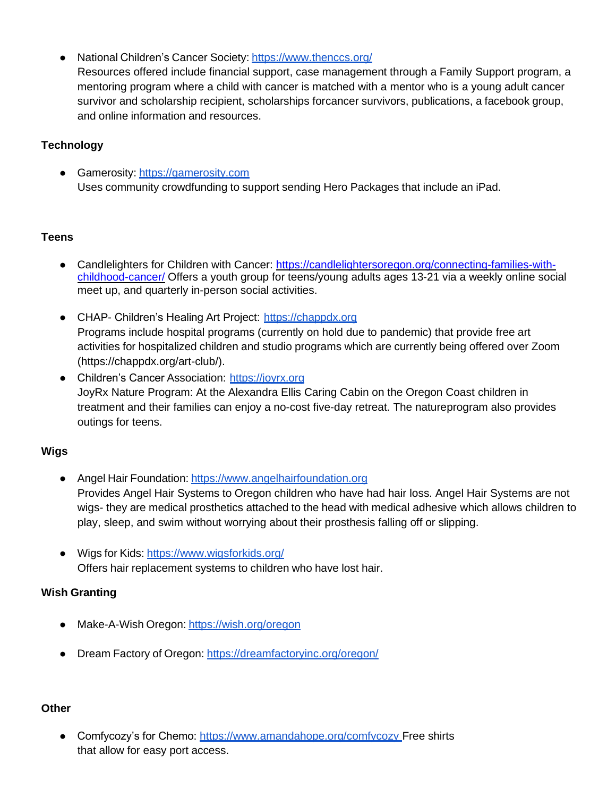● National Children's Cancer Society: <https://www.thenccs.org/> Resources offered include financial support, case management through a Family Support program, a mentoring program where a child with cancer is matched with a mentor who is a young adult cancer survivor and scholarship recipient, scholarships forcancer survivors, publications, a facebook group, and online information and resources.

# **Technology**

● Gamerosity: [https://gamerosity.com](https://gamerosity.com/) Uses community crowdfunding to support sending Hero Packages that include an iPad.

#### **Teens**

- Candlelighters for Children with Cancer: [https://candlelightersoregon.org/connecting-families-with](https://candlelightersoregon.org/connecting-families-with-childhood-cancer/)[childhood-cancer/](https://candlelightersoregon.org/connecting-families-with-childhood-cancer/) Offers a youth group for teens/young adults ages 13-21 via a weekly online social meet up, and quarterly in-person social activities.
- CHAP- Children's Healing Art Project: [https://chappdx.org](https://chappdx.org/) Programs include hospital programs (currently on hold due to pandemic) that provide free art activities for hospitalized children and studio programs which are currently being offered over Zoom (https://chappdx.org/art-club/).
- Children's Cancer Association: [https://joyrx.org](https://joyrx.org/) JoyRx Nature Program: At the Alexandra Ellis Caring Cabin on the Oregon Coast children in treatment and their families can enjoy a no-cost five-day retreat. The natureprogram also provides outings for teens.

# **Wigs**

- Angel Hair Foundation: [https://www.angelhairfoundation.org](https://www.angelhairfoundation.org/) Provides Angel Hair Systems to Oregon children who have had hair loss. Angel Hair Systems are not wigs- they are medical prosthetics attached to the head with medical adhesive which allows children to play, sleep, and swim without worrying about their prosthesis falling off or slipping.
- Wigs for Kids: <https://www.wigsforkids.org/> Offers hair replacement systems to children who have lost hair.

# **Wish Granting**

- Make-A-Wish Oregon: <https://wish.org/oregon>
- Dream Factory of Oregon: <https://dreamfactoryinc.org/oregon/>

# **Other**

● Comfycozy's for Chemo: <https://www.amandahope.org/comfycozy>\_Free shirts that allow for easy port access.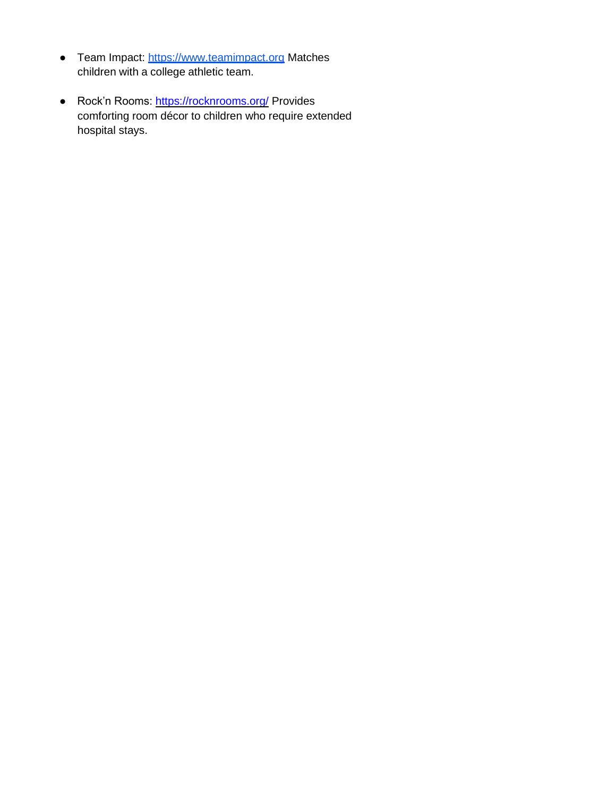- Team Impact: [https://www.teamimpact.org](https://www.teamimpact.org/) Matches children with a college athletic team.
- Rock'n Rooms:<https://rocknrooms.org/> Provides comforting room décor to children who require extended hospital stays.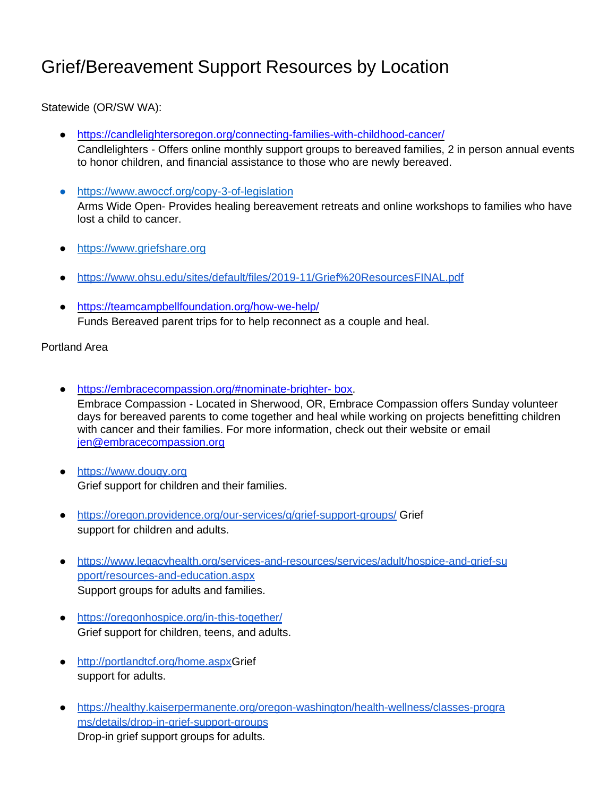# Grief/Bereavement Support Resources by Location

Statewide (OR/SW WA):

- <https://candlelightersoregon.org/connecting-families-with-childhood-cancer/> Candlelighters - Offers online monthly support groups to bereaved families, 2 in person annual events to honor children, and financial assistance to those who are newly bereaved.
- <https://www.awoccf.org/copy-3-of-legislation> Arms Wide Open- Provides healing bereavement retreats and online workshops to families who have lost a child to cancer.
- [https://www.griefshare.org](https://www.griefshare.org/)
- <https://www.ohsu.edu/sites/default/files/2019-11/Grief%20ResourcesFINAL.pdf>
- <https://teamcampbellfoundation.org/how-we-help/> Funds Bereaved parent trips for to help reconnect as a couple and heal.

Portland Area

- [https://embracecompassion.org/#nominate-brighter-](https://embracecompassion.org/%23nominate-brighter-%20box) box. Embrace Compassion - Located in Sherwood, OR, Embrace Compassion offers Sunday volunteer days for bereaved parents to come together and heal while working on projects benefitting children with cancer and their families. For more information, check out their website or email [jen@embracecompassion.org](mailto:jen@embracecompassion.org)
- [https://www.dougy.org](https://www.dougy.org/) Grief support for children and their families.
- <https://oregon.providence.org/our-services/g/grief-support-groups/> Grief support for children and adults.
- [https://www.legacyhealth.org/services-and-resources/services/adult/hospice-and-grief-su](https://www.legacyhealth.org/services-and-resources/services/adult/hospice-and-grief-support/resources-and-education.aspx) [pport/resources-and-education.aspx](https://www.legacyhealth.org/services-and-resources/services/adult/hospice-and-grief-support/resources-and-education.aspx) Support groups for adults and families.
- <https://oregonhospice.org/in-this-together/> Grief support for children, teens, and adults.
- [http://portlandtcf.org/home.aspx G](http://portlandtcf.org/home.aspx)rief support for adults.
- [https://healthy.kaiserpermanente.org/oregon-washington/health-wellness/classes-progra](https://healthy.kaiserpermanente.org/oregon-washington/health-wellness/classes-programs/details/drop-in-grief-support-groups) [ms/details/drop-in-grief-support-groups](https://healthy.kaiserpermanente.org/oregon-washington/health-wellness/classes-programs/details/drop-in-grief-support-groups) Drop-in grief support groups for adults.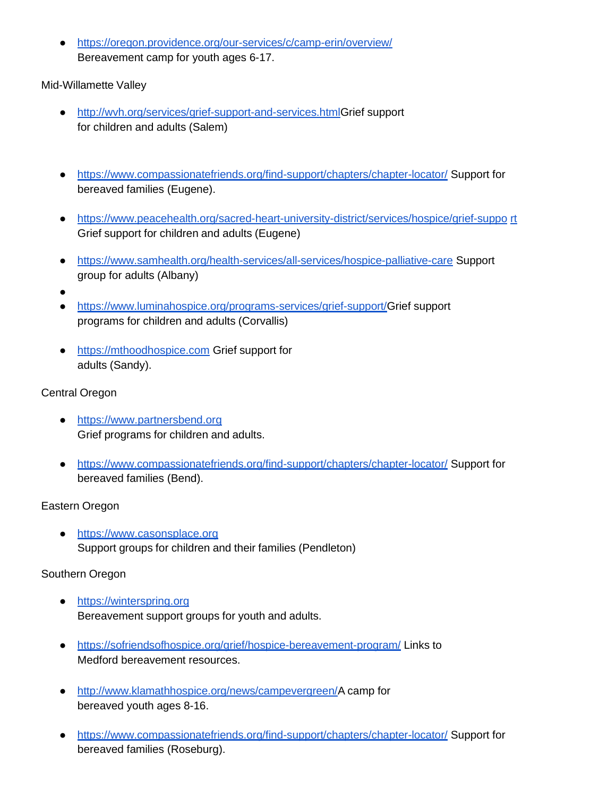● <https://oregon.providence.org/our-services/c/camp-erin/overview/> Bereavement camp for youth ages 6-17.

Mid-Willamette Valley

- [http://wvh.org/services/grief-support-and-services.htmlG](http://wvh.org/services/grief-support-and-services.html)rief support for children and adults (Salem)
- <https://www.compassionatefriends.org/find-support/chapters/chapter-locator/> Support for bereaved families (Eugene).
- [https://www.peacehealth.org/sacred-heart-university-district/services/hospice/grief-suppo](https://www.peacehealth.org/sacred-heart-university-district/services/hospice/grief-support) [rt](https://www.peacehealth.org/sacred-heart-university-district/services/hospice/grief-support) Grief support for children and adults (Eugene)
- <https://www.samhealth.org/health-services/all-services/hospice-palliative-care> Support group for adults (Albany)
- ●
- [https://www.luminahospice.org/programs-services/grief-support/G](https://www.luminahospice.org/programs-services/grief-support/)rief support programs for children and adults (Corvallis)
- [https://mthoodhospice.com](https://mthoodhospice.com/) Grief support for adults (Sandy).

# Central Oregon

- [https://www.partnersbend.org](https://www.partnersbend.org/) Grief programs for children and adults.
- <https://www.compassionatefriends.org/find-support/chapters/chapter-locator/> Support for bereaved families (Bend).

# Eastern Oregon

● [https://www.casonsplace.org](https://www.casonsplace.org/) Support groups for children and their families (Pendleton)

# Southern Oregon

- [https://winterspring.org](https://winterspring.org/) Bereavement support groups for youth and adults.
- <https://sofriendsofhospice.org/grief/hospice-bereavement-program/> Links to Medford bereavement resources.
- [http://www.klamathhospice.org/news/campevergreen/A](http://www.klamathhospice.org/news/campevergreen/) camp for bereaved youth ages 8-16.
- <https://www.compassionatefriends.org/find-support/chapters/chapter-locator/> Support for bereaved families (Roseburg).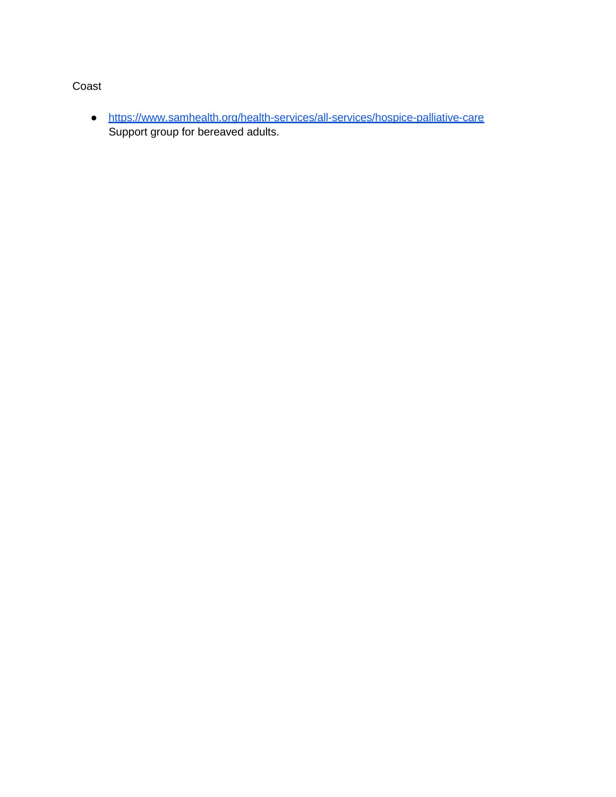# Coast

● <https://www.samhealth.org/health-services/all-services/hospice-palliative-care> Support group for bereaved adults.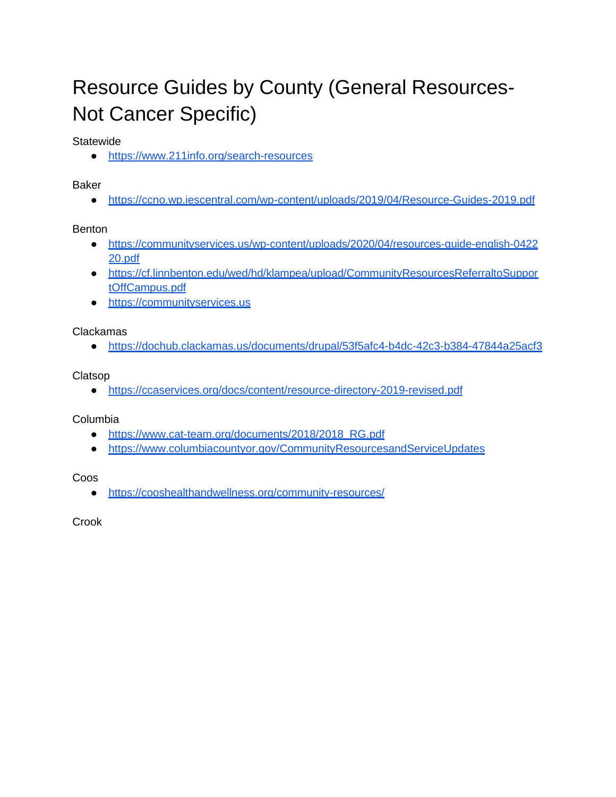# Resource Guides by County (General Resources-Not Cancer Specific)

**Statewide** 

● <https://www.211info.org/search-resources>

Baker

● <https://ccno.wp.iescentral.com/wp-content/uploads/2019/04/Resource-Guides-2019.pdf>

Benton

- [https://communityservices.us/wp-content/uploads/2020/04/resources-guide-english-0422](https://communityservices.us/wp-content/uploads/2020/04/resources-guide-english-042220.pdf) [20.pdf](https://communityservices.us/wp-content/uploads/2020/04/resources-guide-english-042220.pdf)
- [https://cf.linnbenton.edu/wed/hd/klampea/upload/CommunityResourcesReferraltoSuppor](https://cf.linnbenton.edu/wed/hd/klampea/upload/CommunityResourcesReferraltoSupportOffCampus.pdf) [tOffCampus.pdf](https://cf.linnbenton.edu/wed/hd/klampea/upload/CommunityResourcesReferraltoSupportOffCampus.pdf)
- [https://communityservices.us](https://communityservices.us/)

Clackamas

● <https://dochub.clackamas.us/documents/drupal/53f5afc4-b4dc-42c3-b384-47844a25acf3>

Clatsop

● <https://ccaservices.org/docs/content/resource-directory-2019-revised.pdf>

Columbia

- [https://www.cat-team.org/documents/2018/2018\\_RG.pdf](https://www.cat-team.org/documents/2018/2018_RG.pdf)
- <https://www.columbiacountyor.gov/CommunityResourcesandServiceUpdates>

Coos

● <https://cooshealthandwellness.org/community-resources/>

Crook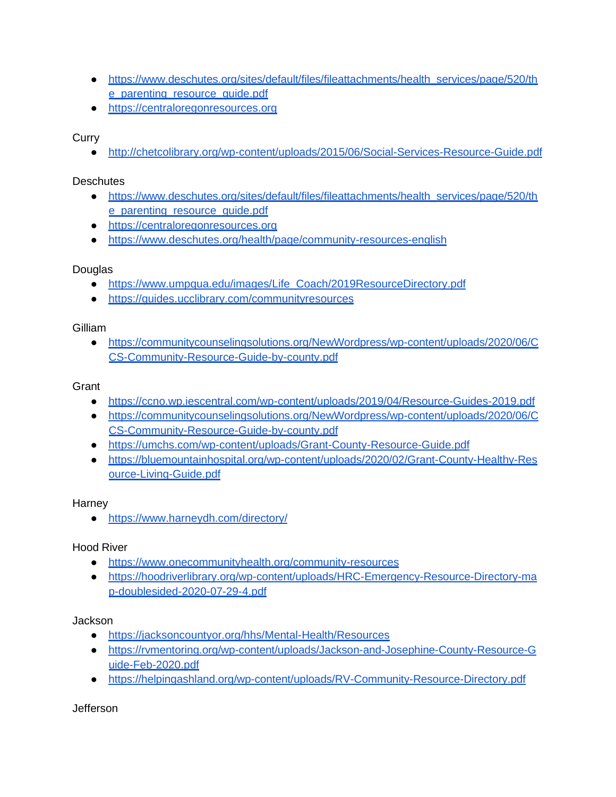- [https://www.deschutes.org/sites/default/files/fileattachments/health\\_services/page/520/th](https://www.deschutes.org/sites/default/files/fileattachments/health_services/page/520/the_parenting_resource_guide.pdf) e parenting resource quide.pdf
- [https://centraloregonresources.org](https://centraloregonresources.org/)

**Curry** 

● <http://chetcolibrary.org/wp-content/uploads/2015/06/Social-Services-Resource-Guide.pdf>

**Deschutes** 

- [https://www.deschutes.org/sites/default/files/fileattachments/health\\_services/page/520/th](https://www.deschutes.org/sites/default/files/fileattachments/health_services/page/520/the_parenting_resource_guide.pdf) e parenting resource quide.pdf
- [https://centraloregonresources.org](https://centraloregonresources.org/)
- <https://www.deschutes.org/health/page/community-resources-english>

# **Douglas**

- [https://www.umpqua.edu/images/Life\\_Coach/2019ResourceDirectory.pdf](https://www.umpqua.edu/images/Life_Coach/2019ResourceDirectory.pdf)
- <https://guides.ucclibrary.com/communityresources>

**Gilliam** 

● [https://communitycounselingsolutions.org/NewWordpress/wp-content/uploads/2020/06/C](https://communitycounselingsolutions.org/NewWordpress/wp-content/uploads/2020/06/CCS-Community-Resource-Guide-by-county.pdf) [CS-Community-Resource-Guide-by-county.pdf](https://communitycounselingsolutions.org/NewWordpress/wp-content/uploads/2020/06/CCS-Community-Resource-Guide-by-county.pdf)

**Grant** 

- <https://ccno.wp.iescentral.com/wp-content/uploads/2019/04/Resource-Guides-2019.pdf>
- [https://communitycounselingsolutions.org/NewWordpress/wp-content/uploads/2020/06/C](https://communitycounselingsolutions.org/NewWordpress/wp-content/uploads/2020/06/CCS-Community-Resource-Guide-by-county.pdf) [CS-Community-Resource-Guide-by-county.pdf](https://communitycounselingsolutions.org/NewWordpress/wp-content/uploads/2020/06/CCS-Community-Resource-Guide-by-county.pdf)
- <https://umchs.com/wp-content/uploads/Grant-County-Resource-Guide.pdf>
- [https://bluemountainhospital.org/wp-content/uploads/2020/02/Grant-County-Healthy-Res](https://bluemountainhospital.org/wp-content/uploads/2020/02/Grant-County-Healthy-Resource-Living-Guide.pdf) [ource-Living-Guide.pdf](https://bluemountainhospital.org/wp-content/uploads/2020/02/Grant-County-Healthy-Resource-Living-Guide.pdf)

**Harney** 

● <https://www.harneydh.com/directory/>

Hood River

- <https://www.onecommunityhealth.org/community-resources>
- [https://hoodriverlibrary.org/wp-content/uploads/HRC-Emergency-Resource-Directory-ma](https://hoodriverlibrary.org/wp-content/uploads/HRC-Emergency-Resource-Directory-map-doublesided-2020-07-29-4.pdf) [p-doublesided-2020-07-29-4.pdf](https://hoodriverlibrary.org/wp-content/uploads/HRC-Emergency-Resource-Directory-map-doublesided-2020-07-29-4.pdf)

**Jackson** 

- <https://jacksoncountyor.org/hhs/Mental-Health/Resources>
- [https://rvmentoring.org/wp-content/uploads/Jackson-and-Josephine-County-Resource-G](https://rvmentoring.org/wp-content/uploads/Jackson-and-Josephine-County-Resource-Guide-Feb-2020.pdf) [uide-Feb-2020.pdf](https://rvmentoring.org/wp-content/uploads/Jackson-and-Josephine-County-Resource-Guide-Feb-2020.pdf)
- <https://helpingashland.org/wp-content/uploads/RV-Community-Resource-Directory.pdf>

**Jefferson**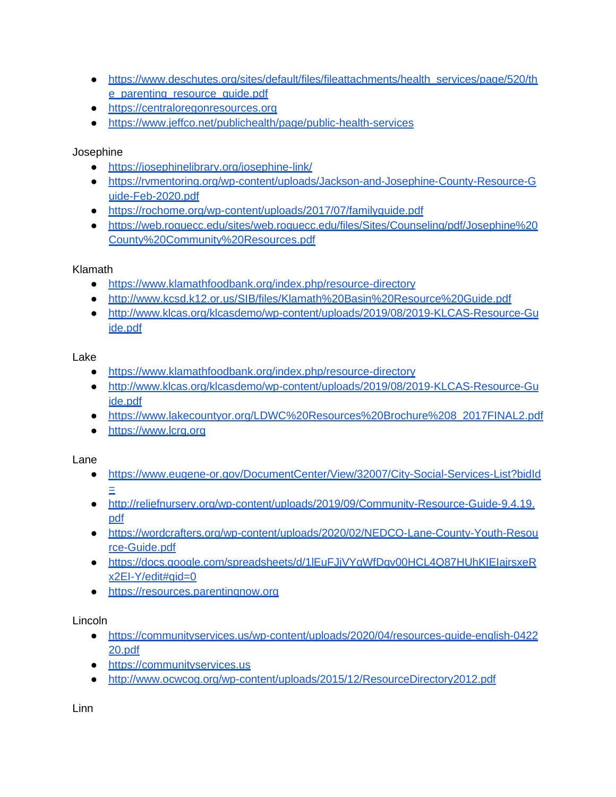- [https://www.deschutes.org/sites/default/files/fileattachments/health\\_services/page/520/th](https://www.deschutes.org/sites/default/files/fileattachments/health_services/page/520/the_parenting_resource_guide.pdf) e parenting resource quide.pdf
- [https://centraloregonresources.org](https://centraloregonresources.org/)
- <https://www.jeffco.net/publichealth/page/public-health-services>

# Josephine

- <https://josephinelibrary.org/josephine-link/>
- [https://rvmentoring.org/wp-content/uploads/Jackson-and-Josephine-County-Resource-G](https://rvmentoring.org/wp-content/uploads/Jackson-and-Josephine-County-Resource-Guide-Feb-2020.pdf) [uide-Feb-2020.pdf](https://rvmentoring.org/wp-content/uploads/Jackson-and-Josephine-County-Resource-Guide-Feb-2020.pdf)
- <https://rochome.org/wp-content/uploads/2017/07/familyguide.pdf>
- [https://web.roguecc.edu/sites/web.roguecc.edu/files/Sites/Counseling/pdf/Josephine%20](https://web.roguecc.edu/sites/web.roguecc.edu/files/Sites/Counseling/pdf/Josephine%20County%20Community%20Resources.pdf) [County%20Community%20Resources.pdf](https://web.roguecc.edu/sites/web.roguecc.edu/files/Sites/Counseling/pdf/Josephine%20County%20Community%20Resources.pdf)

# Klamath

- <https://www.klamathfoodbank.org/index.php/resource-directory>
- <http://www.kcsd.k12.or.us/SIB/files/Klamath%20Basin%20Resource%20Guide.pdf>
- [http://www.klcas.org/klcasdemo/wp-content/uploads/2019/08/2019-KLCAS-Resource-Gu](http://www.klcas.org/klcasdemo/wp-content/uploads/2019/08/2019-KLCAS-Resource-Guide.pdf) [ide.pdf](http://www.klcas.org/klcasdemo/wp-content/uploads/2019/08/2019-KLCAS-Resource-Guide.pdf)

# Lake

- <https://www.klamathfoodbank.org/index.php/resource-directory>
- [http://www.klcas.org/klcasdemo/wp-content/uploads/2019/08/2019-KLCAS-Resource-Gu](http://www.klcas.org/klcasdemo/wp-content/uploads/2019/08/2019-KLCAS-Resource-Guide.pdf) [ide.pdf](http://www.klcas.org/klcasdemo/wp-content/uploads/2019/08/2019-KLCAS-Resource-Guide.pdf)
- [https://www.lakecountyor.org/LDWC%20Resources%20Brochure%208\\_2017FINAL2.pdf](https://www.lakecountyor.org/LDWC%20Resources%20Brochure%208_2017FINAL2.pdf)
- [https://www.lcrg.org](https://www.lcrg.org/)

# Lane

- <https://www.eugene-or.gov/DocumentCenter/View/32007/City-Social-Services-List?bidId> [=](https://www.eugene-or.gov/DocumentCenter/View/32007/City-Social-Services-List?bidId)
- [http://reliefnursery.org/wp-content/uploads/2019/09/Community-Resource-Guide-9.4.19.](http://reliefnursery.org/wp-content/uploads/2019/09/Community-Resource-Guide-9.4.19.pdf) [pdf](http://reliefnursery.org/wp-content/uploads/2019/09/Community-Resource-Guide-9.4.19.pdf)
- [https://wordcrafters.org/wp-content/uploads/2020/02/NEDCO-Lane-County-Youth-Resou](https://wordcrafters.org/wp-content/uploads/2020/02/NEDCO-Lane-County-Youth-Resource-Guide.pdf) [rce-Guide.pdf](https://wordcrafters.org/wp-content/uploads/2020/02/NEDCO-Lane-County-Youth-Resource-Guide.pdf)
- https://docs.google.com/spreadsheets/d/1lEuFJjVYgWfDgv00HCL4Q87HUhKIElajrsxeR [x2EI-Y/edit#gid=0](https://docs.google.com/spreadsheets/d/1lEuFJjVYgWfDgv00HCL4Q87HUhKIEIajrsxeRx2EI-Y/edit#gid%3D0)
- [https://resources.parentingnow.org](https://resources.parentingnow.org/)

# Lincoln

- [https://communityservices.us/wp-content/uploads/2020/04/resources-guide-english-0422](https://communityservices.us/wp-content/uploads/2020/04/resources-guide-english-042220.pdf) [20.pdf](https://communityservices.us/wp-content/uploads/2020/04/resources-guide-english-042220.pdf)
- [https://communityservices.us](https://communityservices.us/)
- <http://www.ocwcog.org/wp-content/uploads/2015/12/ResourceDirectory2012.pdf>

Linn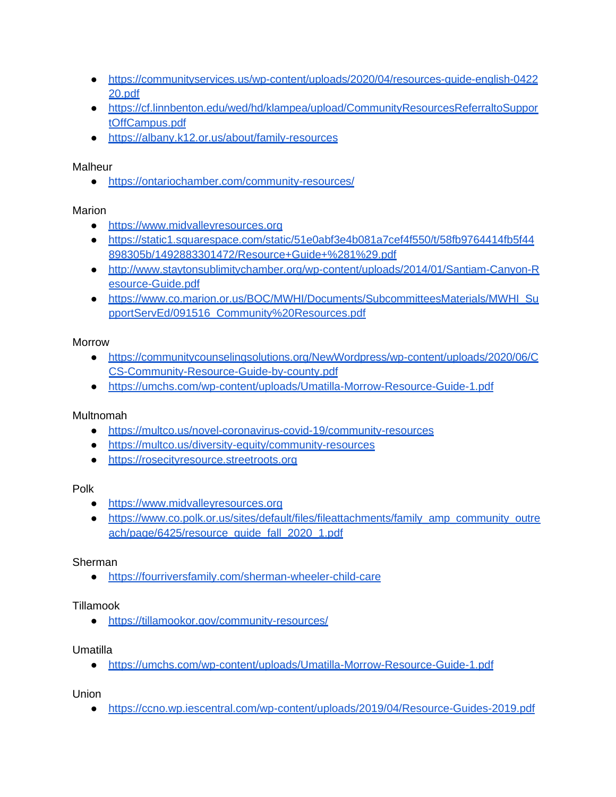- [https://communityservices.us/wp-content/uploads/2020/04/resources-guide-english-0422](https://communityservices.us/wp-content/uploads/2020/04/resources-guide-english-042220.pdf) [20.pdf](https://communityservices.us/wp-content/uploads/2020/04/resources-guide-english-042220.pdf)
- [https://cf.linnbenton.edu/wed/hd/klampea/upload/CommunityResourcesReferraltoSuppor](https://cf.linnbenton.edu/wed/hd/klampea/upload/CommunityResourcesReferraltoSupportOffCampus.pdf) [tOffCampus.pdf](https://cf.linnbenton.edu/wed/hd/klampea/upload/CommunityResourcesReferraltoSupportOffCampus.pdf)
- <https://albany.k12.or.us/about/family-resources>

**Malheur** 

● <https://ontariochamber.com/community-resources/>

# Marion

- [https://www.midvalleyresources.org](https://www.midvalleyresources.org/)
- [https://static1.squarespace.com/static/51e0abf3e4b081a7cef4f550/t/58fb9764414fb5f44](https://static1.squarespace.com/static/51e0abf3e4b081a7cef4f550/t/58fb9764414fb5f44898305b/1492883301472/Resource%2BGuide%2B%281%29.pdf) [898305b/1492883301472/Resource+Guide+%281%29.pdf](https://static1.squarespace.com/static/51e0abf3e4b081a7cef4f550/t/58fb9764414fb5f44898305b/1492883301472/Resource%2BGuide%2B%281%29.pdf)
- [http://www.staytonsublimitychamber.org/wp-content/uploads/2014/01/Santiam-Canyon-R](http://www.staytonsublimitychamber.org/wp-content/uploads/2014/01/Santiam-Canyon-Resource-Guide.pdf) [esource-Guide.pdf](http://www.staytonsublimitychamber.org/wp-content/uploads/2014/01/Santiam-Canyon-Resource-Guide.pdf)
- [https://www.co.marion.or.us/BOC/MWHI/Documents/SubcommitteesMaterials/MWHI\\_Su](https://www.co.marion.or.us/BOC/MWHI/Documents/SubcommitteesMaterials/MWHI_SupportServEd/091516_Community%20Resources.pdf) [pportServEd/091516\\_Community%20Resources.pdf](https://www.co.marion.or.us/BOC/MWHI/Documents/SubcommitteesMaterials/MWHI_SupportServEd/091516_Community%20Resources.pdf)

# Morrow

- [https://communitycounselingsolutions.org/NewWordpress/wp-content/uploads/2020/06/C](https://communitycounselingsolutions.org/NewWordpress/wp-content/uploads/2020/06/CCS-Community-Resource-Guide-by-county.pdf) [CS-Community-Resource-Guide-by-county.pdf](https://communitycounselingsolutions.org/NewWordpress/wp-content/uploads/2020/06/CCS-Community-Resource-Guide-by-county.pdf)
- <https://umchs.com/wp-content/uploads/Umatilla-Morrow-Resource-Guide-1.pdf>

# Multnomah

- <https://multco.us/novel-coronavirus-covid-19/community-resources>
- <https://multco.us/diversity-equity/community-resources>
- [https://rosecityresource.streetroots.org](https://rosecityresource.streetroots.org/)

# Polk

- [https://www.midvalleyresources.org](https://www.midvalleyresources.org/)
- [https://www.co.polk.or.us/sites/default/files/fileattachments/family\\_amp\\_community\\_outre](https://www.co.polk.or.us/sites/default/files/fileattachments/family_amp_community_outreach/page/6425/resource_guide_fall_2020_1.pdf) [ach/page/6425/resource\\_guide\\_fall\\_2020\\_1.pdf](https://www.co.polk.or.us/sites/default/files/fileattachments/family_amp_community_outreach/page/6425/resource_guide_fall_2020_1.pdf)

# Sherman

● <https://fourriversfamily.com/sherman-wheeler-child-care>

# Tillamook

● <https://tillamookor.gov/community-resources/>

# Umatilla

● <https://umchs.com/wp-content/uploads/Umatilla-Morrow-Resource-Guide-1.pdf>

**Union** 

● <https://ccno.wp.iescentral.com/wp-content/uploads/2019/04/Resource-Guides-2019.pdf>